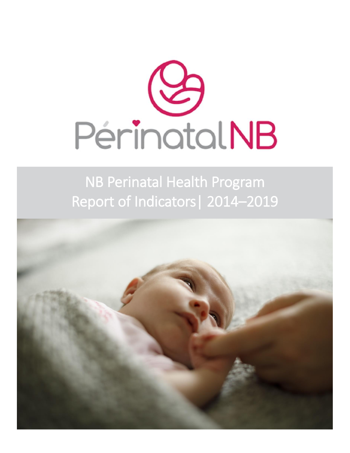

NB Perinatal Health Program Report of Indicators| 2014–2019

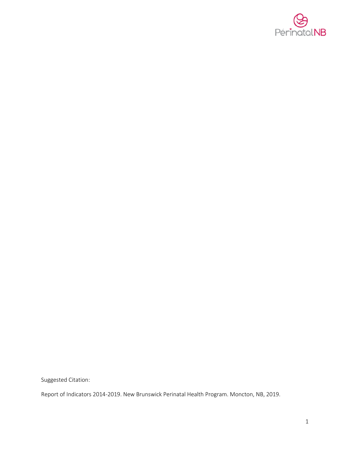

Suggested Citation:

Report of Indicators 2014-2019. New Brunswick Perinatal Health Program. Moncton, NB, 2019.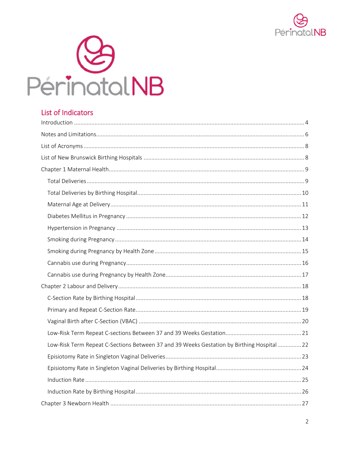



# List of Indicators

| Low-Risk Term Repeat C-Sections Between 37 and 39 Weeks Gestation by Birthing Hospital  22 |  |
|--------------------------------------------------------------------------------------------|--|
|                                                                                            |  |
|                                                                                            |  |
|                                                                                            |  |
|                                                                                            |  |
|                                                                                            |  |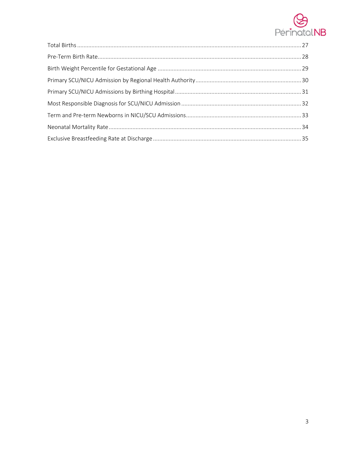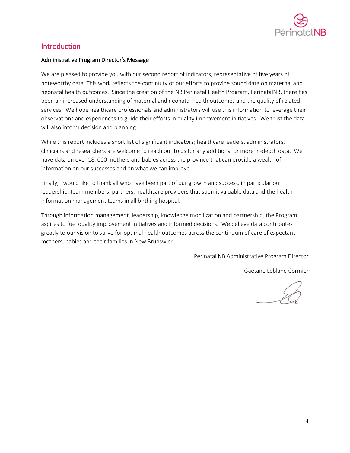

# <span id="page-4-0"></span>Introduction

### Administrative Program Director's Message

We are pleased to provide you with our second report of indicators, representative of five years of noteworthy data. This work reflects the continuity of our efforts to provide sound data on maternal and neonatal health outcomes. Since the creation of the NB Perinatal Health Program, PerinatalNB, there has been an increased understanding of maternal and neonatal health outcomes and the quality of related services. We hope healthcare professionals and administrators will use this information to leverage their observations and experiences to guide their efforts in quality improvement initiatives. We trust the data will also inform decision and planning.

While this report includes a short list of significant indicators; healthcare leaders, administrators, clinicians and researchers are welcome to reach out to us for any additional or more in-depth data. We have data on over 18, 000 mothers and babies across the province that can provide a wealth of information on our successes and on what we can improve.

Finally, I would like to thank all who have been part of our growth and success, in particular our leadership, team members, partners, healthcare providers that submit valuable data and the health information management teams in all birthing hospital.

Through information management, leadership, knowledge mobilization and partnership, the Program aspires to fuel quality improvement initiatives and informed decisions. We believe data contributes greatly to our vision to strive for optimal health outcomes across the continuum of care of expectant mothers, babies and their families in New Brunswick.

Perinatal NB Administrative Program Director

Gaetane Leblanc-Cormier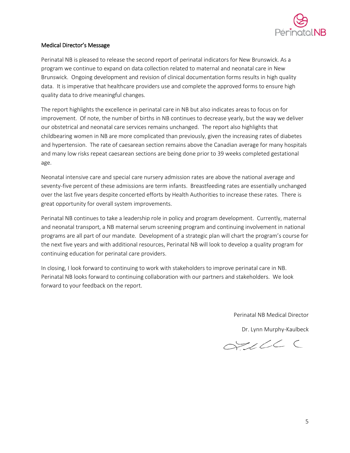

### Medical Director's Message

Perinatal NB is pleased to release the second report of perinatal indicators for New Brunswick. As a program we continue to expand on data collection related to maternal and neonatal care in New Brunswick. Ongoing development and revision of clinical documentation forms results in high quality data. It is imperative that healthcare providers use and complete the approved forms to ensure high quality data to drive meaningful changes.

The report highlights the excellence in perinatal care in NB but also indicates areas to focus on for improvement. Of note, the number of births in NB continues to decrease yearly, but the way we deliver our obstetrical and neonatal care services remains unchanged. The report also highlights that childbearing women in NB are more complicated than previously, given the increasing rates of diabetes and hypertension. The rate of caesarean section remains above the Canadian average for many hospitals and many low risks repeat caesarean sections are being done prior to 39 weeks completed gestational age.

Neonatal intensive care and special care nursery admission rates are above the national average and seventy-five percent of these admissions are term infants. Breastfeeding rates are essentially unchanged over the last five years despite concerted efforts by Health Authorities to increase these rates. There is great opportunity for overall system improvements.

Perinatal NB continues to take a leadership role in policy and program development. Currently, maternal and neonatal transport, a NB maternal serum screening program and continuing involvement in national programs are all part of our mandate. Development of a strategic plan will chart the program's course for the next five years and with additional resources, Perinatal NB will look to develop a quality program for continuing education for perinatal care providers.

In closing, I look forward to continuing to work with stakeholders to improve perinatal care in NB. Perinatal NB looks forward to continuing collaboration with our partners and stakeholders. We look forward to your feedback on the report.

Perinatal NB Medical Director

Dr. Lynn Murphy-Kaulbeck

OTILLEC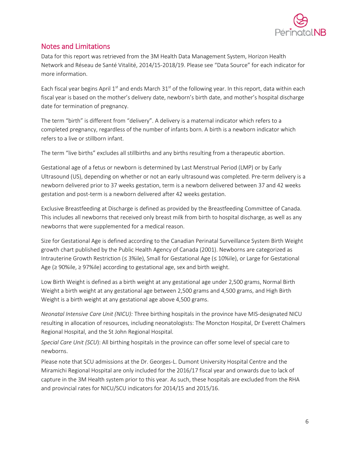

# <span id="page-6-0"></span>Notes and Limitations

Data for this report was retrieved from the 3M Health Data Management System, Horizon Health Network and Réseau de Santé Vitalité, 2014/15-2018/19. Please see "Data Source" for each indicator for more information.

Each fiscal year begins April 1st and ends March  $31<sup>st</sup>$  of the following year. In this report, data within each fiscal year is based on the mother's delivery date, newborn's birth date, and mother's hospital discharge date for termination of pregnancy.

The term "birth" is different from "delivery". A delivery is a maternal indicator which refers to a completed pregnancy, regardless of the number of infants born. A birth is a newborn indicator which refers to a live or stillborn infant.

The term "live births" excludes all stillbirths and any births resulting from a therapeutic abortion.

Gestational age of a fetus or newborn is determined by Last Menstrual Period (LMP) or by Early Ultrasound (US), depending on whether or not an early ultrasound was completed. Pre-term delivery is a newborn delivered prior to 37 weeks gestation, term is a newborn delivered between 37 and 42 weeks gestation and post-term is a newborn delivered after 42 weeks gestation.

Exclusive Breastfeeding at Discharge is defined as provided by the Breastfeeding Committee of Canada. This includes all newborns that received only breast milk from birth to hospital discharge, as well as any newborns that were supplemented for a medical reason.

Size for Gestational Age is defined according to the Canadian Perinatal Surveillance System Birth Weight growth chart published by the Public Health Agency of Canada (2001). Newborns are categorized as Intrauterine Growth Restriction (≤ 3%ile), Small for Gestational Age (≤ 10%ile), or Large for Gestational Age (≥ 90%ile, ≥ 97%ile) according to gestational age, sex and birth weight.

Low Birth Weight is defined as a birth weight at any gestational age under 2,500 grams, Normal Birth Weight a birth weight at any gestational age between 2,500 grams and 4,500 grams, and High Birth Weight is a birth weight at any gestational age above 4,500 grams.

*Neonatal Intensive Care Unit (NICU):* Three birthing hospitals in the province have MIS-designated NICU resulting in allocation of resources, including neonatologists: The Moncton Hospital, Dr Everett Chalmers Regional Hospital, and the St John Regional Hospital.

*Special Care Unit (SCU*): All birthing hospitals in the province can offer some level of special care to newborns.

Please note that SCU admissions at the Dr. Georges-L. Dumont University Hospital Centre and the Miramichi Regional Hospital are only included for the 2016/17 fiscal year and onwards due to lack of capture in the 3M Health system prior to this year. As such, these hospitals are excluded from the RHA and provincial rates for NICU/SCU indicators for 2014/15 and 2015/16.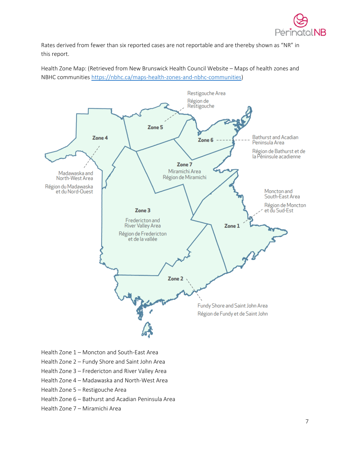

Rates derived from fewer than six reported cases are not reportable and are thereby shown as "NR" in this report.

Health Zone Map: (Retrieved from New Brunswick Health Council Website – Maps of health zones and NBHC communities [https://nbhc.ca/maps-health-zones-and-nbhc-communities\)](https://nbhc.ca/maps-health-zones-and-nbhc-communities)



- Health Zone 1 Moncton and South-East Area
- Health Zone 2 Fundy Shore and Saint John Area
- Health Zone 3 Fredericton and River Valley Area
- Health Zone 4 Madawaska and North-West Area
- Health Zone 5 Restigouche Area
- Health Zone 6 Bathurst and Acadian Peninsula Area
- Health Zone 7 Miramichi Area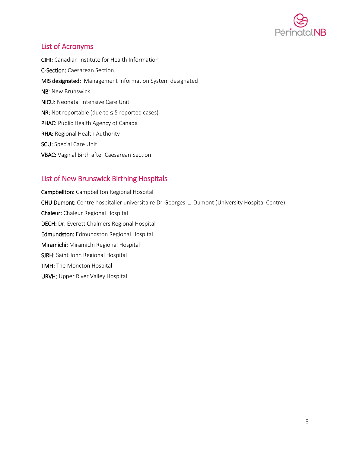

# <span id="page-8-0"></span>List of Acronyms

CIHI: Canadian Institute for Health Information C-Section: Caesarean Section MIS designated: Management Information System designated NB: New Brunswick NICU: Neonatal Intensive Care Unit NR: Not reportable (due to ≤ 5 reported cases) PHAC: Public Health Agency of Canada RHA: Regional Health Authority SCU: Special Care Unit VBAC: Vaginal Birth after Caesarean Section

# <span id="page-8-1"></span>List of New Brunswick Birthing Hospitals

Campbellton: Campbellton Regional Hospital CHU Dumont: Centre hospitalier universitaire Dr-Georges-L.-Dumont (University Hospital Centre) Chaleur: Chaleur Regional Hospital DECH: Dr. Everett Chalmers Regional Hospital Edmundston: Edmundston Regional Hospital Miramichi: Miramichi Regional Hospital SJRH: Saint John Regional Hospital TMH: The Moncton Hospital URVH: Upper River Valley Hospital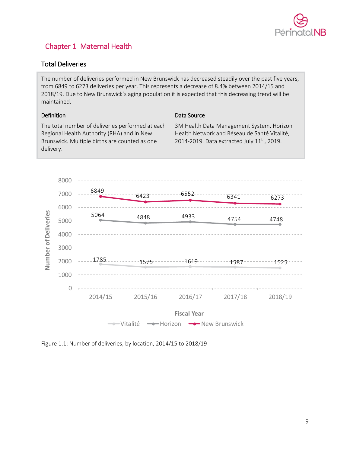

# <span id="page-9-0"></span>Chapter 1 Maternal Health

# <span id="page-9-1"></span>Total Deliveries

The number of deliveries performed in New Brunswick has decreased steadily over the past five years, from 6849 to 6273 deliveries per year. This represents a decrease of 8.4% between 2014/15 and 2018/19. Due to New Brunswick's aging population it is expected that this decreasing trend will be maintained.

### Definition

### Data Source

The total number of deliveries performed at each Regional Health Authority (RHA) and in New Brunswick. Multiple births are counted as one delivery.

3M Health Data Management System, Horizon Health Network and Réseau de Santé Vitalité, 2014-2019. Data extracted July 11<sup>th</sup>, 2019.



Figure 1.1: Number of deliveries, by location, 2014/15 to 2018/19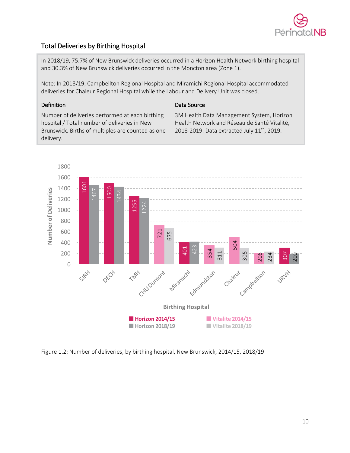

# <span id="page-10-0"></span>Total Deliveries by Birthing Hospital

In 2018/19, 75.7% of New Brunswick deliveries occurred in a Horizon Health Network birthing hospital and 30.3% of New Brunswick deliveries occurred in the Moncton area (Zone 1).

Note: In 2018/19, Campbellton Regional Hospital and Miramichi Regional Hospital accommodated deliveries for Chaleur Regional Hospital while the Labour and Delivery Unit was closed.

### Definition

### Data Source

Number of deliveries performed at each birthing hospital / Total number of deliveries in New Brunswick. Births of multiples are counted as one delivery.

3M Health Data Management System, Horizon Health Network and Réseau de Santé Vitalité, 2018-2019. Data extracted July 11<sup>th</sup>, 2019.

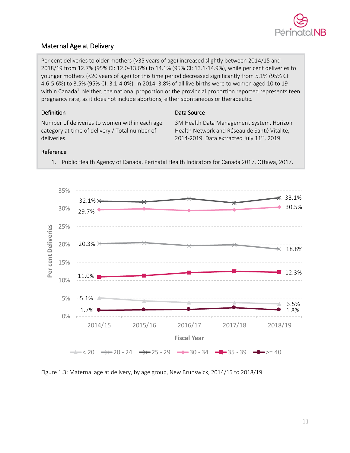

# <span id="page-11-0"></span>Maternal Age at Delivery

Per cent deliveries to older mothers (>35 years of age) increased slightly between 2014/15 and 2018/19 from 12.7% (95% CI: 12.0-13.6%) to 14.1% (95% CI: 13.1-14.9%), while per cent deliveries to younger mothers (<20 years of age) for this time period decreased significantly from 5.1% (95% CI: 4.6-5.6%) to 3.5% (95% CI: 3.1-4.0%). In 2014, 3.8% of all live births were to women aged 10 to 19 within Canada<sup>1</sup>. Neither, the national proportion or the provincial proportion reported represents teen pregnancy rate, as it does not include abortions, either spontaneous or therapeutic.

### Definition

Number of deliveries to women within each age category at time of delivery / Total number of deliveries.

### Data Source

3M Health Data Management System, Horizon Health Network and Réseau de Santé Vitalité, 2014-2019. Data extracted July 11<sup>th</sup>, 2019.

### Reference



1. Public Health Agency of Canada. Perinatal Health Indicators for Canada 2017. Ottawa, 2017.

Figure 1.3: Maternal age at delivery, by age group, New Brunswick, 2014/15 to 2018/19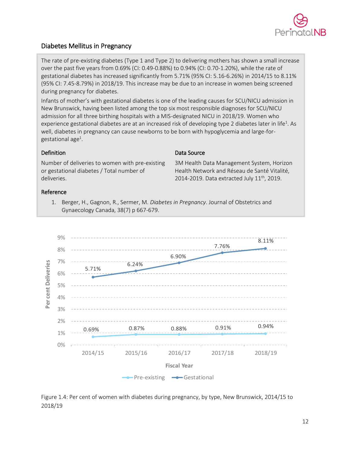

# <span id="page-12-0"></span>Diabetes Mellitus in Pregnancy

The rate of pre-existing diabetes (Type 1 and Type 2) to delivering mothers has shown a small increase over the past five years from 0.69% (CI: 0.49-0.88%) to 0.94% (CI: 0.70-1.20%), while the rate of gestational diabetes has increased significantly from 5.71% (95% CI: 5.16-6.26%) in 2014/15 to 8.11% (95% CI: 7.45-8.79%) in 2018/19. This increase may be due to an increase in women being screened during pregnancy for diabetes.

Infants of mother's with gestational diabetes is one of the leading causes for SCU/NICU admission in New Brunswick, having been listed among the top six most responsible diagnoses for SCU/NICU admission for all three birthing hospitals with a MIS-designated NICU in 2018/19. Women who experience gestational diabetes are at an increased risk of developing type 2 diabetes later in life<sup>1</sup>. As well, diabetes in pregnancy can cause newborns to be born with hypoglycemia and large-forgestational age<sup>1</sup>.

### Definition

Data Source

Number of deliveries to women with pre-existing or gestational diabetes / Total number of deliveries.

3M Health Data Management System, Horizon Health Network and Réseau de Santé Vitalité, 2014-2019. Data extracted July  $11^{th}$ , 2019.

### Reference

1. Berger, H., Gagnon, R., Sermer, M. *Diabetes in Pregnancy*. Journal of Obstetrics and Gynaecology Canada, 38(7) p 667-679.



Figure 1.4: Per cent of women with diabetes during pregnancy, by type, New Brunswick, 2014/15 to 2018/19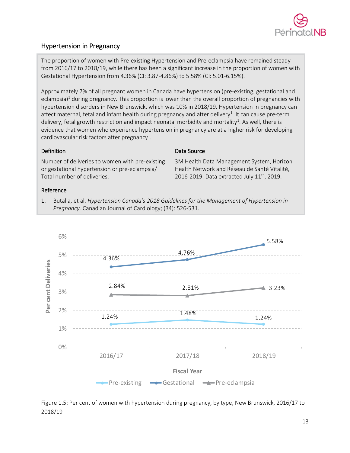

# <span id="page-13-0"></span>Hypertension in Pregnancy

The proportion of women with Pre-existing Hypertension and Pre-eclampsia have remained steady from 2016/17 to 2018/19, while there has been a significant increase in the proportion of women with Gestational Hypertension from 4.36% (CI: 3.87-4.86%) to 5.58% (CI: 5.01-6.15%).

Approximately 7% of all pregnant women in Canada have hypertension (pre-existing, gestational and eclampsia)<sup>1</sup> during pregnancy. This proportion is lower than the overall proportion of pregnancies with hypertension disorders in New Brunswick, which was 10% in 2018/19. Hypertension in pregnancy can affect maternal, fetal and infant health during pregnancy and after delivery<sup>1</sup>. It can cause pre-term delivery, fetal growth restriction and impact neonatal morbidity and mortality<sup>1</sup>. As well, there is evidence that women who experience hypertension in pregnancy are at a higher risk for developing cardiovascular risk factors after pregnancy<sup>1</sup>.

### Definition

Number of deliveries to women with pre-existing or gestational hypertension or pre-eclampsia/ Total number of deliveries.

### Data Source

3M Health Data Management System, Horizon Health Network and Réseau de Santé Vitalité, 2016-2019. Data extracted July  $11<sup>th</sup>$ , 2019.

### Reference

1. Butalia, et al. *Hypertension Canada's 2018 Guidelines for the Management of Hypertension in Pregnancy.* Canadian Journal of Cardiology; (34): 526-531.



Figure 1.5: Per cent of women with hypertension during pregnancy, by type, New Brunswick, 2016/17 to 2018/19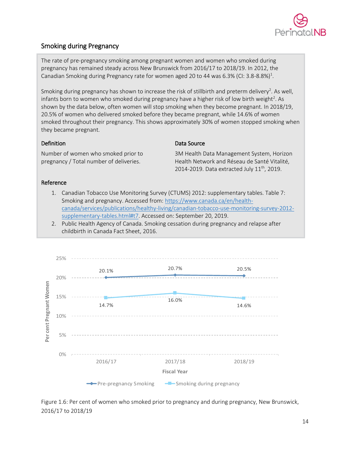

# <span id="page-14-0"></span>Smoking during Pregnancy

The rate of pre-pregnancy smoking among pregnant women and women who smoked during pregnancy has remained steady across New Brunswick from 2016/17 to 2018/19. In 2012, the Canadian Smoking during Pregnancy rate for women aged 20 to 44 was 6.3% (CI: 3.8-8.8%)<sup>1</sup>.

Smoking during pregnancy has shown to increase the risk of stillbirth and preterm delivery<sup>2</sup>. As well, infants born to women who smoked during pregnancy have a higher risk of low birth weight<sup>2</sup>. As shown by the data below, often women will stop smoking when they become pregnant. In 2018/19, 20.5% of women who delivered smoked before they became pregnant, while 14.6% of women smoked throughout their pregnancy. This shows approximately 30% of women stopped smoking when they became pregnant.

### Definition

Number of women who smoked prior to pregnancy / Total number of deliveries.

#### Data Source

3M Health Data Management System, Horizon Health Network and Réseau de Santé Vitalité, 2014-2019. Data extracted July  $11^{th}$ , 2019.

#### Reference

- 1. Canadian Tobacco Use Monitoring Survey (CTUMS) 2012: supplementary tables. Table 7: Smoking and pregnancy. Accessed from[: https://www.canada.ca/en/health](https://www.canada.ca/en/health-canada/services/publications/healthy-living/canadian-tobacco-use-monitoring-survey-2012-supplementary-tables.html#t7)[canada/services/publications/healthy-living/canadian-tobacco-use-monitoring-survey-2012](https://www.canada.ca/en/health-canada/services/publications/healthy-living/canadian-tobacco-use-monitoring-survey-2012-supplementary-tables.html#t7) [supplementary-tables.html#t7.](https://www.canada.ca/en/health-canada/services/publications/healthy-living/canadian-tobacco-use-monitoring-survey-2012-supplementary-tables.html#t7) Accessed on: September 20, 2019.
- 2. Public Health Agency of Canada. Smoking cessation during pregnancy and relapse after childbirth in Canada Fact Sheet, 2016.



Figure 1.6: Per cent of women who smoked prior to pregnancy and during pregnancy, New Brunswick, 2016/17 to 2018/19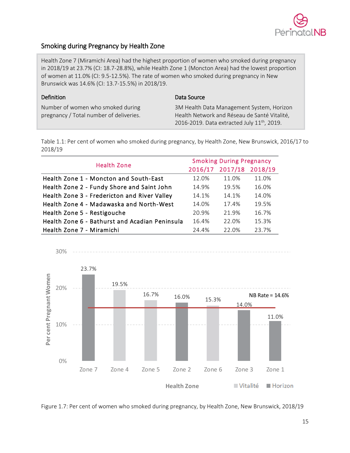

# <span id="page-15-0"></span>Smoking during Pregnancy by Health Zone

Health Zone 7 (Miramichi Area) had the highest proportion of women who smoked during pregnancy in 2018/19 at 23.7% (CI: 18.7-28.8%), while Health Zone 1 (Moncton Area) had the lowest proportion of women at 11.0% (CI: 9.5-12.5%). The rate of women who smoked during pregnancy in New Brunswick was 14.6% (CI: 13.7-15.5%) in 2018/19.

| Definition                              | Data Source                                      |
|-----------------------------------------|--------------------------------------------------|
| Number of women who smoked during       | 3M Health Data Management System, Horizon        |
| pregnancy / Total number of deliveries. | Health Network and Réseau de Santé Vitalité,     |
|                                         | 2016-2019. Data extracted July $11^{th}$ , 2019. |

Table 1.1: Per cent of women who smoked during pregnancy, by Health Zone, New Brunswick, 2016/17 to 2018/19

| <b>Health Zone</b>                             | <b>Smoking During Pregnancy</b> |                         |       |  |  |
|------------------------------------------------|---------------------------------|-------------------------|-------|--|--|
|                                                |                                 | 2016/17 2017/18 2018/19 |       |  |  |
| Health Zone 1 - Moncton and South-East         | 12.0%                           | 11.0%                   | 11.0% |  |  |
| Health Zone 2 - Fundy Shore and Saint John     | 14.9%                           | 19.5%                   | 16.0% |  |  |
| Health Zone 3 - Fredericton and River Valley   | 14.1%                           | 14.1%                   | 14.0% |  |  |
| Health Zone 4 - Madawaska and North-West       | 14.0%                           | 17.4%                   | 19.5% |  |  |
| Health Zone 5 - Restigouche                    | 20.9%                           | 21.9%                   | 16.7% |  |  |
| Health Zone 6 - Bathurst and Acadian Peninsula | 16.4%                           | 22.0%                   | 15.3% |  |  |
| Health Zone 7 - Miramichi                      | 24.4%                           | 22.0%                   | 23.7% |  |  |



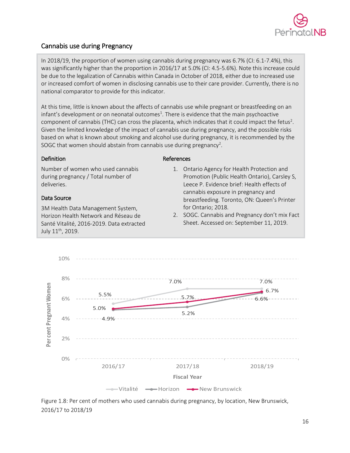

# <span id="page-16-0"></span>Cannabis use during Pregnancy

In 2018/19, the proportion of women using cannabis during pregnancy was 6.7% (CI: 6.1-7.4%), this was significantly higher than the proportion in 2016/17 at 5.0% (CI: 4.5-5.6%). Note this increase could be due to the legalization of Cannabis within Canada in October of 2018, either due to increased use or increased comfort of women in disclosing cannabis use to their care provider. Currently, there is no national comparator to provide for this indicator.

At this time, little is known about the affects of cannabis use while pregnant or breastfeeding on an infant's development or on neonatal outcomes<sup>1</sup>. There is evidence that the main psychoactive component of cannabis (THC) can cross the placenta, which indicates that it could impact the fetus<sup>2</sup>. Given the limited knowledge of the impact of cannabis use during pregnancy, and the possible risks based on what is known about smoking and alcohol use during pregnancy, it is recommended by the SOGC that women should abstain from cannabis use during pregnancy<sup>2</sup>.

### **Definition**

Number of women who used cannabis during pregnancy / Total number of deliveries.

### Data Source

3M Health Data Management System, Horizon Health Network and Réseau de Santé Vitalité, 2016-2019. Data extracted July 11th, 2019.

### References

- 1. Ontario Agency for Health Protection and Promotion (Public Health Ontario), Carsley S, Leece P. Evidence brief: Health effects of cannabis exposure in pregnancy and breastfeeding. Toronto, ON: Queen's Printer for Ontario; 2018.
- 2. SOGC. Cannabis and Pregnancy don't mix Fact Sheet. Accessed on: September 11, 2019.



Figure 1.8: Per cent of mothers who used cannabis during pregnancy, by location, New Brunswick, 2016/17 to 2018/19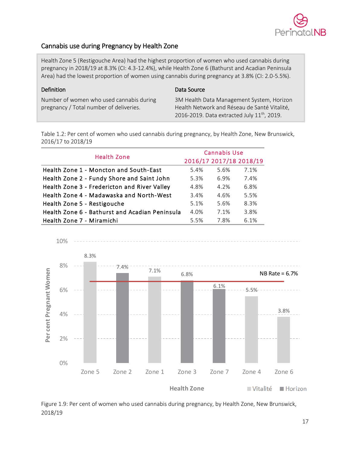

# <span id="page-17-0"></span>Cannabis use during Pregnancy by Health Zone

Health Zone 5 (Restigouche Area) had the highest proportion of women who used cannabis during pregnancy in 2018/19 at 8.3% (CI: 4.3-12.4%), while Health Zone 6 (Bathurst and Acadian Peninsula Area) had the lowest proportion of women using cannabis during pregnancy at 3.8% (CI: 2.0-5.5%).

### Definition

Data Source

Number of women who used cannabis during pregnancy / Total number of deliveries.

3M Health Data Management System, Horizon Health Network and Réseau de Santé Vitalité, 2016-2019. Data extracted July  $11^{th}$ , 2019.

Table 1.2: Per cent of women who used cannabis during pregnancy, by Health Zone, New Brunswick, 2016/17 to 2018/19

| <b>Health Zone</b>                             | <b>Cannabis Use</b> |      |                         |  |  |
|------------------------------------------------|---------------------|------|-------------------------|--|--|
|                                                |                     |      | 2016/17 2017/18 2018/19 |  |  |
| Health Zone 1 - Moncton and South-East         | 5.4%                | 5.6% | 7.1%                    |  |  |
| Health Zone 2 - Fundy Shore and Saint John     | 5.3%                | 6.9% | 7.4%                    |  |  |
| Health Zone 3 - Fredericton and River Valley   | 4.8%                | 4.2% | 6.8%                    |  |  |
| Health Zone 4 - Madawaska and North-West       | 3.4%                | 4.6% | 5.5%                    |  |  |
| Health Zone 5 - Restigouche                    | 5.1%                | 5.6% | 8.3%                    |  |  |
| Health Zone 6 - Bathurst and Acadian Peninsula | 4.0%                | 7.1% | 3.8%                    |  |  |
| Health Zone 7 - Miramichi                      | 5.5%                | 7.8% | 6.1%                    |  |  |



Figure 1.9: Per cent of women who used cannabis during pregnancy, by Health Zone, New Brunswick, 2018/19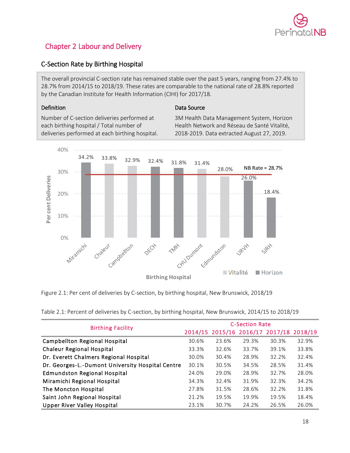

# <span id="page-18-0"></span>Chapter 2 Labour and Delivery

# <span id="page-18-1"></span>C-Section Rate by Birthing Hospital

The overall provincial C-section rate has remained stable over the past 5 years, ranging from 27.4% to 28.7% from 2014/15 to 2018/19. These rates are comparable to the national rate of 28.8% reported by the Canadian Institute for Health Information (CIHI) for 2017/18.

### Definition

### Data Source

Number of C-section deliveries performed at each birthing hospital / Total number of deliveries performed at each birthing hospital. 3M Health Data Management System, Horizon Health Network and Réseau de Santé Vitalité, 2018-2019. Data extracted August 27, 2019.



Figure 2.1: Per cent of deliveries by C-section, by birthing hospital, New Brunswick, 2018/19

Table 2.1: Percent of deliveries by C-section, by birthing hospital, New Brunswick, 2014/15 to 2018/19

| <b>Birthing Facility</b>                         | <b>C-Section Rate</b> |                                         |       |       |       |  |
|--------------------------------------------------|-----------------------|-----------------------------------------|-------|-------|-------|--|
|                                                  |                       | 2014/15 2015/16 2016/17 2017/18 2018/19 |       |       |       |  |
| Campbellton Regional Hospital                    | 30.6%                 | 23.6%                                   | 29.3% | 30.3% | 32.9% |  |
| <b>Chaleur Regional Hospital</b>                 | 33.3%                 | 32.6%                                   | 33.7% | 39.1% | 33.8% |  |
| Dr. Everett Chalmers Regional Hospital           | 30.0%                 | 30.4%                                   | 28.9% | 32.2% | 32.4% |  |
| Dr. Georges-L.-Dumont University Hospital Centre | 30.1%                 | 30.5%                                   | 34.5% | 28.5% | 31.4% |  |
| <b>Edmundston Regional Hospital</b>              | 24.0%                 | 29.0%                                   | 28.9% | 32.7% | 28.0% |  |
| Miramichi Regional Hospital                      | 34.3%                 | 32.4%                                   | 31.9% | 32.3% | 34.2% |  |
| The Moncton Hospital                             | 27.8%                 | 31.5%                                   | 28.6% | 32.2% | 31.8% |  |
| Saint John Regional Hospital                     | 21.2%                 | 19.5%                                   | 19.9% | 19.5% | 18.4% |  |
| <b>Upper River Valley Hospital</b>               | 23.1%                 | 30.7%                                   | 24.2% | 26.5% | 26.0% |  |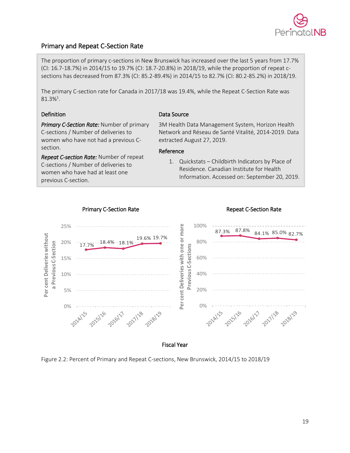

# <span id="page-19-0"></span>Primary and Repeat C-Section Rate

The proportion of primary c-sections in New Brunswick has increased over the last 5 years from 17.7% (CI: 16.7-18.7%) in 2014/15 to 19.7% (CI: 18.7-20.8%) in 2018/19, while the proportion of repeat csections has decreased from 87.3% (CI: 85.2-89.4%) in 2014/15 to 82.7% (CI: 80.2-85.2%) in 2018/19.

The primary C-section rate for Canada in 2017/18 was 19.4%, while the Repeat C-Section Rate was  $81.3\%$ <sup>1</sup>.

### Definition

Data Source

*Primary C-Section Rate:* Number of primary C-sections / Number of deliveries to women who have not had a previous Csection.

*Repeat C-section Rate:* Number of repeat C-sections / Number of deliveries to women who have had at least one previous C-section.

### 3M Health Data Management System, Horizon Health Network and Réseau de Santé Vitalité, 2014-2019. Data extracted August 27, 2019.

### Reference

1. Quickstats – Childbirth Indicators by Place of Residence. Canadian Institute for Health Information. Accessed on: September 20, 2019.



### Primary C-Section Rate **Repeat C-Section Rate** Repeat C-Section Rate

Figure 2.2: Percent of Primary and Repeat C-sections, New Brunswick, 2014/15 to 2018/19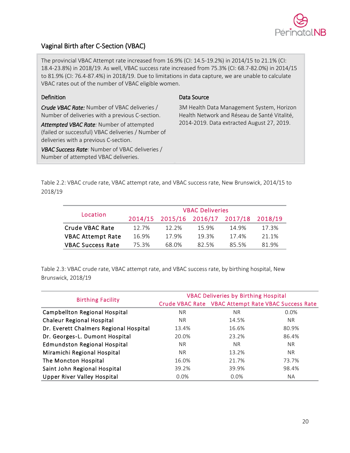

# <span id="page-20-0"></span>Vaginal Birth after C-Section (VBAC)

The provincial VBAC Attempt rate increased from 16.9% (CI: 14.5-19.2%) in 2014/15 to 21.1% (CI: 18.4-23.8%) in 2018/19. As well, VBAC success rate increased from 75.3% (CI: 68.7-82.0%) in 2014/15 to 81.9% (CI: 76.4-87.4%) in 2018/19. Due to limitations in data capture, we are unable to calculate VBAC rates out of the number of VBAC eligible women.

### Definition

*Crude VBAC Rate:* Number of VBAC deliveries / Number of deliveries with a previous C-section.

*Attempted VBAC Rate:* Number of attempted (failed or successful) VBAC deliveries / Number of deliveries with a previous C-section.

*VBAC Success Rate:* Number of VBAC deliveries / Number of attempted VBAC deliveries.

### Data Source

3M Health Data Management System, Horizon Health Network and Réseau de Santé Vitalité, 2014-2019. Data extracted August 27, 2019.

Table 2.2: VBAC crude rate, VBAC attempt rate, and VBAC success rate, New Brunswick, 2014/15 to 2018/19

| Location                 | <b>VBAC Deliveries</b> |                                         |       |       |       |  |  |
|--------------------------|------------------------|-----------------------------------------|-------|-------|-------|--|--|
|                          |                        | 2014/15 2015/16 2016/17 2017/18 2018/19 |       |       |       |  |  |
| Crude VBAC Rate          | 12.7%                  | $12.2\%$                                | 15.9% | 14.9% | 17.3% |  |  |
| <b>VBAC Attempt Rate</b> | 16.9%                  | 17.9%                                   | 19.3% | 17.4% | 21.1% |  |  |
| <b>VBAC Success Rate</b> | 75.3%                  | 68.0%                                   | 82.5% | 85.5% | 819%  |  |  |

Table 2.3: VBAC crude rate, VBAC attempt rate, and VBAC success rate, by birthing hospital, New Brunswick, 2018/19

|                                        | <b>VBAC Deliveries by Birthing Hospital</b> |                                                     |       |  |  |
|----------------------------------------|---------------------------------------------|-----------------------------------------------------|-------|--|--|
| <b>Birthing Facility</b>               |                                             | Crude VBAC Rate VBAC Attempt Rate VBAC Success Rate |       |  |  |
| <b>Campbellton Regional Hospital</b>   | NR.                                         | N <sub>R</sub>                                      | 0.0%  |  |  |
| <b>Chaleur Regional Hospital</b>       | NR.                                         | 14.5%                                               | NR.   |  |  |
| Dr. Everett Chalmers Regional Hospital | 13.4%                                       | 16.6%                                               | 80.9% |  |  |
| Dr. Georges-L. Dumont Hospital         | 20.0%                                       | 23.2%                                               | 86.4% |  |  |
| <b>Edmundston Regional Hospital</b>    | NR.                                         | N <sub>R</sub>                                      | NR.   |  |  |
| Miramichi Regional Hospital            | NR.                                         | 13.2%                                               | NR.   |  |  |
| The Moncton Hospital                   | 16.0%                                       | 21.7%                                               | 73.7% |  |  |
| Saint John Regional Hospital           | 39.2%                                       | 39.9%                                               | 98.4% |  |  |
| <b>Upper River Valley Hospital</b>     | $0.0\%$                                     | $0.0\%$                                             | NA.   |  |  |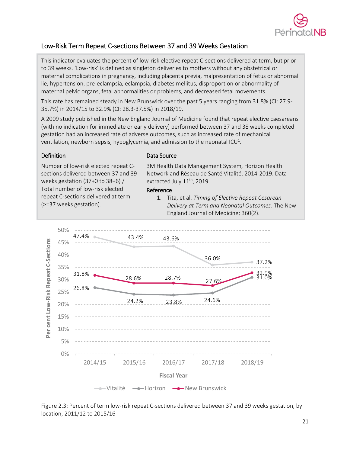

# <span id="page-21-0"></span>Low-Risk Term Repeat C-sections Between 37 and 39 Weeks Gestation

This indicator evaluates the percent of low-risk elective repeat C-sections delivered at term, but prior to 39 weeks. 'Low-risk' is defined as singleton deliveries to mothers without any obstetrical or maternal complications in pregnancy, including placenta previa, malpresentation of fetus or abnormal lie, hypertension, pre-eclampsia, eclampsia, diabetes mellitus, disproportion or abnormality of maternal pelvic organs, fetal abnormalities or problems, and decreased fetal movements.

This rate has remained steady in New Brunswick over the past 5 years ranging from 31.8% (CI: 27.9- 35.7%) in 2014/15 to 32.9% (CI: 28.3-37.5%) in 2018/19.

A 2009 study published in the New England Journal of Medicine found that repeat elective caesareans (with no indication for immediate or early delivery) performed between 37 and 38 weeks completed gestation had an increased rate of adverse outcomes, such as increased rate of mechanical ventilation, newborn sepsis, hypoglycemia, and admission to the neonatal ICU<sup>1</sup>.

### **Definition**

### Data Source

Number of low-risk elected repeat Csections delivered between 37 and 39 weeks gestation (37+0 to 38+6) / Total number of low-risk elected repeat C-sections delivered at term (>=37 weeks gestation).

3M Health Data Management System, Horizon Health Network and Réseau de Santé Vitalité, 2014-2019. Data extracted July  $11<sup>th</sup>$ , 2019.

### Reference

1. Tita, et al. *Timing of Elective Repeat Cesarean Delivery at Term and Neonatal Outcomes.* The New England Journal of Medicine; 360(2).



Figure 2.3: Percent of term low-risk repeat C-sections delivered between 37 and 39 weeks gestation, by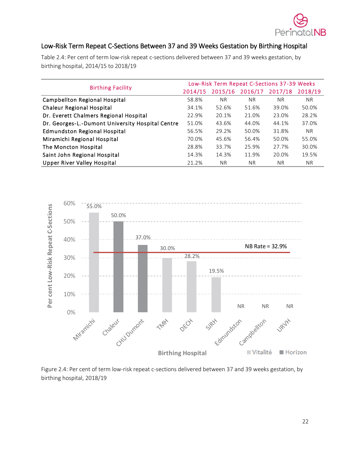

# <span id="page-22-0"></span>Low-Risk Term Repeat C-Sections Between 37 and 39 Weeks Gestation by Birthing Hospital

Table 2.4: Per cent of term low-risk repeat c-sections delivered between 37 and 39 weeks gestation, by birthing hospital, 2014/15 to 2018/19

|                                                  | Low-Risk Term Repeat C-Sections 37-39 Weeks |           |           |           |           |
|--------------------------------------------------|---------------------------------------------|-----------|-----------|-----------|-----------|
| <b>Birthing Facility</b>                         | 2014/15                                     | 2015/16   | 2016/17   | 2017/18   | 2018/19   |
| Campbellton Regional Hospital                    | 58.8%                                       | <b>NR</b> | <b>NR</b> | <b>NR</b> | <b>NR</b> |
| <b>Chaleur Regional Hospital</b>                 | 34.1%                                       | 52.6%     | 51.6%     | 39.0%     | 50.0%     |
| Dr. Everett Chalmers Regional Hospital           | 22.9%                                       | 20.1%     | 21.0%     | 23.0%     | 28.2%     |
| Dr. Georges-L.-Dumont University Hospital Centre | 51.0%                                       | 43.6%     | 44.0%     | 44.1%     | 37.0%     |
| <b>Edmundston Regional Hospital</b>              | 56.5%                                       | 29.2%     | 50.0%     | 31.8%     | NR.       |
| Miramichi Regional Hospital                      | 70.0%                                       | 45.6%     | 56.4%     | 50.0%     | 55.0%     |
| The Moncton Hospital                             | 28.8%                                       | 33.7%     | 25.9%     | 27.7%     | 30.0%     |
| Saint John Regional Hospital                     | 14.3%                                       | 14.3%     | 11.9%     | 20.0%     | 19.5%     |
| <b>Upper River Valley Hospital</b>               | 21.2%                                       | NR.       | <b>NR</b> | NR.       | NR.       |



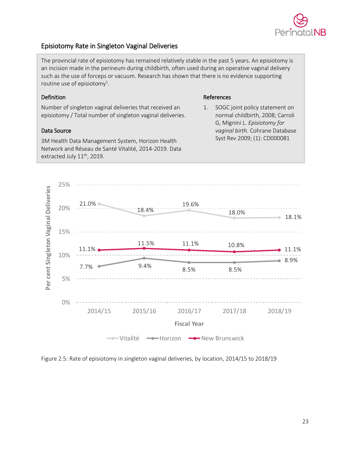

# <span id="page-23-0"></span>Episiotomy Rate in Singleton Vaginal Deliveries

The provincial rate of episiotomy has remained relatively stable in the past 5 years. An episiotomy is an incision made in the perineum during childbirth, often used during an operative vaginal delivery such as the use of forceps or vacuum. Research has shown that there is no evidence supporting routine use of episiotomy<sup>1</sup>.

### Definition

Number of singleton vaginal deliveries that received an episiotomy / Total number of singleton vaginal deliveries.

### Data Source

3M Health Data Management System, Horizon Health Network and Réseau de Santé Vitalité, 2014-2019. Data extracted July  $11^{\text{th}}$ , 2019.

### References

1. SOGC joint policy statement on normal childbirth, 2008; Carroli G, Mignini L. *Episiotomy for vaginal birth.* Cohrane Database Syst Rev 2009; (1): CD000081



Figure 2.5: Rate of episiotomy in singleton vaginal deliveries, by location, 2014/15 to 2018/19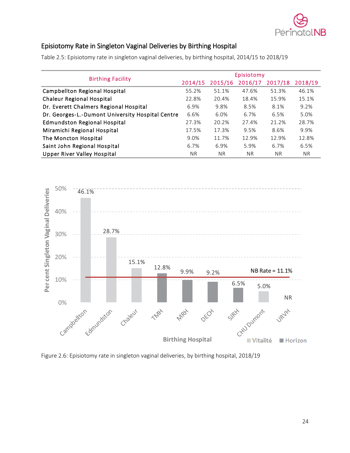

# <span id="page-24-0"></span>Episiotomy Rate in Singleton Vaginal Deliveries by Birthing Hospital

Table 2.5: Episiotomy rate in singleton vaginal deliveries, by birthing hospital, 2014/15 to 2018/19

|                                                  | Episiotomy     |           |                |           |         |
|--------------------------------------------------|----------------|-----------|----------------|-----------|---------|
| <b>Birthing Facility</b>                         | 2014/15        | 2015/16   | 2016/17        | 2017/18   | 2018/19 |
| Campbellton Regional Hospital                    | 55.2%          | 51.1%     | 47.6%          | 51.3%     | 46.1%   |
| <b>Chaleur Regional Hospital</b>                 | 22.8%          | 20.4%     | 18.4%          | 15.9%     | 15.1%   |
| Dr. Everett Chalmers Regional Hospital           | 6.9%           | 9.8%      | 8.5%           | 8.1%      | 9.2%    |
| Dr. Georges-L.-Dumont University Hospital Centre | 6.6%           | 6.0%      | 6.7%           | 6.5%      | 5.0%    |
| <b>Edmundston Regional Hospital</b>              | 27.3%          | 20.2%     | 27.4%          | 21.2%     | 28.7%   |
| Miramichi Regional Hospital                      | 17.5%          | 17.3%     | 9.5%           | 8.6%      | 9.9%    |
| The Moncton Hospital                             | 9.0%           | 11.7%     | 12.9%          | 12.9%     | 12.8%   |
| Saint John Regional Hospital                     | 6.7%           | 6.9%      | 5.9%           | 6.7%      | 6.5%    |
| <b>Upper River Valley Hospital</b>               | N <sub>R</sub> | <b>NR</b> | N <sub>R</sub> | <b>NR</b> | NR.     |
|                                                  |                |           |                |           |         |



Figure 2.6: Episiotomy rate in singleton vaginal deliveries, by birthing hospital, 2018/19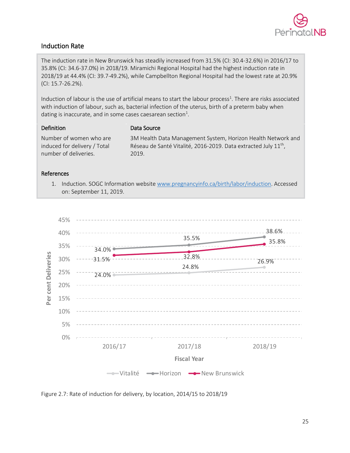

# <span id="page-25-0"></span>Induction Rate

The induction rate in New Brunswick has steadily increased from 31.5% (CI: 30.4-32.6%) in 2016/17 to 35.8% (CI: 34.6-37.0%) in 2018/19. Miramichi Regional Hospital had the highest induction rate in 2018/19 at 44.4% (CI: 39.7-49.2%), while Campbellton Regional Hospital had the lowest rate at 20.9% (CI: 15.7-26.2%).

Induction of labour is the use of artificial means to start the labour process<sup>1</sup>. There are risks associated with induction of labour, such as, bacterial infection of the uterus, birth of a preterm baby when dating is inaccurate, and in some cases caesarean section<sup>1</sup>.

### Definition

#### Data Source

Number of women who are induced for delivery / Total number of deliveries.

3M Health Data Management System, Horizon Health Network and Réseau de Santé Vitalité, 2016-2019. Data extracted July  $11<sup>th</sup>$ , 2019.

### References

1. Induction. SOGC Information website [www.pregnancyinfo.ca/birth/labor/induction.](http://www.pregnancyinfo.ca/birth/labor/induction) Accessed on: September 11, 2019.



Figure 2.7: Rate of induction for delivery, by location, 2014/15 to 2018/19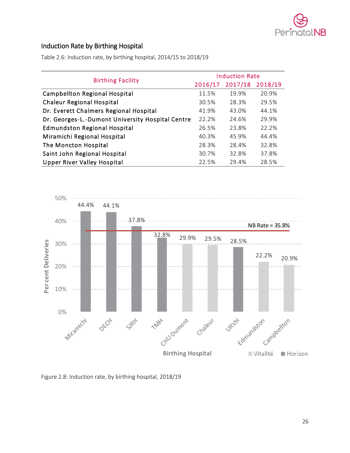

# <span id="page-26-0"></span>Induction Rate by Birthing Hospital

Table 2.6: Induction rate, by birthing hospital, 2014/15 to 2018/19

|                                                  | <b>Induction Rate</b> |         |         |  |  |
|--------------------------------------------------|-----------------------|---------|---------|--|--|
| <b>Birthing Facility</b>                         | 2016/17               | 2017/18 | 2018/19 |  |  |
| Campbellton Regional Hospital                    | 11.5%                 | 19.9%   | 20.9%   |  |  |
| Chaleur Regional Hospital                        | 30.5%                 | 28.3%   | 29.5%   |  |  |
| Dr. Everett Chalmers Regional Hospital           | 41.9%                 | 43.0%   | 44.1%   |  |  |
| Dr. Georges-L.-Dumont University Hospital Centre | 22.2%                 | 24.6%   | 29.9%   |  |  |
| <b>Edmundston Regional Hospital</b>              | 26.5%                 | 23.8%   | 22.2%   |  |  |
| Miramichi Regional Hospital                      | 40.3%                 | 45.9%   | 44.4%   |  |  |
| The Moncton Hospital                             | 28.3%                 | 28.4%   | 32.8%   |  |  |
| Saint John Regional Hospital                     | 30.7%                 | 32.8%   | 37.8%   |  |  |
| <b>Upper River Valley Hospital</b>               | 22.5%                 | 29.4%   | 28.5%   |  |  |



Figure 2.8: Induction rate, by birthing hospital, 2018/19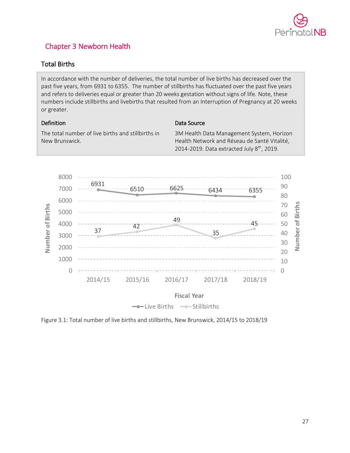

# <span id="page-27-0"></span>Chapter 3 Newborn Health

# <span id="page-27-1"></span>Total Births

In accordance with the number of deliveries, the total number of live births has decreased over the past five years, from 6931 to 6355. The number of stillbirths has fluctuated over the past five years and refers to deliveries equal or greater than 20 weeks gestation without signs of life. Note, these numbers include stillbirths and livebirths that resulted from an Interruption of Pregnancy at 20 weeks or greater.

### Definition

### Data Source

The total number of live births and stillbirths in New Brunswick.

3M Health Data Management System, Horizon Health Network and Réseau de Santé Vitalité, 2014-2019. Data extracted July  $8<sup>th</sup>$ , 2019.



 $\longrightarrow$  Live Births  $\longrightarrow$  Stillbirths

Figure 3.1: Total number of live births and stillbirths, New Brunswick, 2014/15 to 2018/19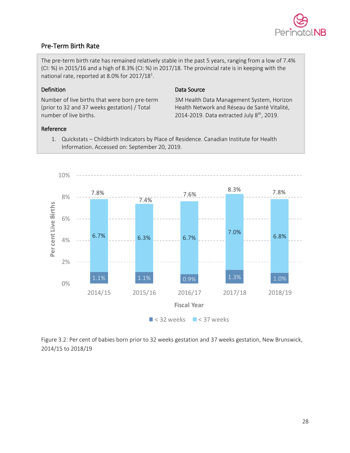

# <span id="page-28-0"></span>Pre-Term Birth Rate

The pre-term birth rate has remained relatively stable in the past 5 years, ranging from a low of 7.4% (CI: %) in 2015/16 and a high of 8.3% (CI: %) in 2017/18. The provincial rate is in keeping with the national rate, reported at 8.0% for 2017/18<sup>1</sup>.

### Definition

Number of live births that were born pre-term (prior to 32 and 37 weeks gestation) / Total number of live births.

### Data Source

3M Health Data Management System, Horizon Health Network and Réseau de Santé Vitalité, 2014-2019. Data extracted July  $8<sup>th</sup>$ , 2019.

### Reference

1. Quickstats – Childbirth Indicators by Place of Residence. Canadian Institute for Health Information. Accessed on: September 20, 2019.



Figure 3.2: Per cent of babies born prior to 32 weeks gestation and 37 weeks gestation, New Brunswick, 2014/15 to 2018/19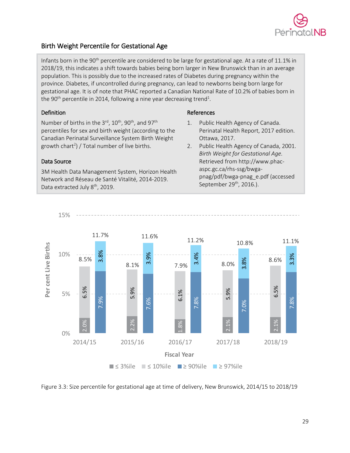

# <span id="page-29-0"></span>Birth Weight Percentile for Gestational Age

Infants born in the 90<sup>th</sup> percentile are considered to be large for gestational age. At a rate of 11.1% in 2018/19, this indicates a shift towards babies being born larger in New Brunswick than in an average population. This is possibly due to the increased rates of Diabetes during pregnancy within the province. Diabetes, if uncontrolled during pregnancy, can lead to newborns being born large for gestational age. It is of note that PHAC reported a Canadian National Rate of 10.2% of babies born in the 90<sup>th</sup> percentile in 2014, following a nine year decreasing trend<sup>1</sup>.

### Definition

Number of births in the 3<sup>rd</sup>, 10<sup>th</sup>, 90<sup>th</sup>, and 97<sup>th</sup> percentiles for sex and birth weight (according to the Canadian Perinatal Surveillance System Birth Weight growth chart<sup>2</sup>) / Total number of live births.

### Data Source

15%

3M Health Data Management System, Horizon Health Network and Réseau de Santé Vitalité, 2014-2019. Data extracted July 8<sup>th</sup>, 2019.

### References

- 1. Public Health Agency of Canada. Perinatal Health Report, 2017 edition. Ottawa, 2017.
- 2. Public Health Agency of Canada, 2001. *Birth Weight for Gestational Age.* Retrieved from http://www.phacaspc.gc.ca/rhs-ssg/bwgapnag/pdf/bwga-pnag\_e.pdf (accessed September 29<sup>th</sup>, 2016.).



Figure 3.3: Size percentile for gestational age at time of delivery, New Brunswick, 2014/15 to 2018/19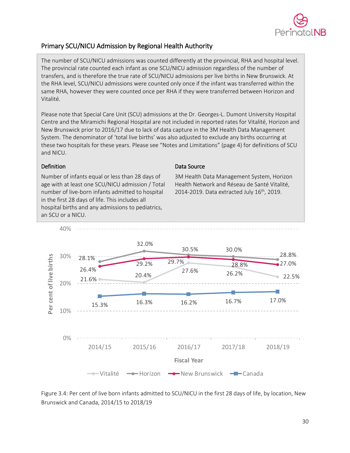

# <span id="page-30-0"></span>Primary SCU/NICU Admission by Regional Health Authority

The number of SCU/NICU admissions was counted differently at the provincial, RHA and hospital level. The provincial rate counted each infant as one SCU/NICU admission regardless of the number of transfers, and is therefore the true rate of SCU/NICU admissions per live births in New Brunswick. At the RHA level, SCU/NICU admissions were counted only once if the infant was transferred within the same RHA, however they were counted once per RHA if they were transferred between Horizon and Vitalité.

Please note that Special Care Unit (SCU) admissions at the Dr. Georges-L. Dumont University Hospital Centre and the Miramichi Regional Hospital are not included in reported rates for Vitalité, Horizon and New Brunswick prior to 2016/17 due to lack of data capture in the 3M Health Data Management System. The denominator of 'total live births' was also adjusted to exclude any births occurring at these two hospitals for these years. Please see "Notes and Limitations" (page 4) for definitions of SCU and NICU.

### Definition

Number of infants equal or less than 28 days of age with at least one SCU/NICU admission / Total number of live-born infants admitted to hospital in the first 28 days of life. This includes all hospital births and any admissions to pediatrics, an SCU or a NICU.

### Data Source

3M Health Data Management System, Horizon Health Network and Réseau de Santé Vitalité, 2014-2019. Data extracted July 16<sup>th</sup>, 2019.



Figure 3.4: Per cent of live born infants admitted to SCU/NICU in the first 28 days of life, by location, New Brunswick and Canada, 2014/15 to 2018/19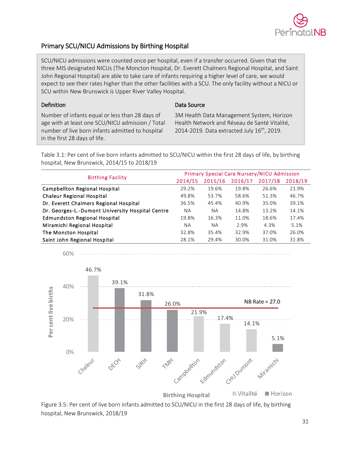

# <span id="page-31-0"></span>Primary SCU/NICU Admissions by Birthing Hospital

SCU/NICU admissions were counted once per hospital, even if a transfer occurred. Given that the three MIS designated NICUs (The Moncton Hospital, Dr. Everett Chalmers Regional Hospital, and Saint John Regional Hospital) are able to take care of infants requiring a higher level of care, we would expect to see their rates higher than the other facilities with a SCU. The only facility without a NICU or SCU within New Brunswick is Upper River Valley Hospital.

### Definition

60%

Data Source

Number of infants equal or less than 28 days of age with at least one SCU/NICU admission / Total number of live born infants admitted to hospital in the first 28 days of life.

3M Health Data Management System, Horizon Health Network and Réseau de Santé Vitalité, 2014-2019. Data extracted July  $16<sup>th</sup>$ , 2019.

Table 3.1: Per cent of live born infants admitted to SCU/NICU within the first 28 days of life, by birthing hospital, New Brunswick, 2014/15 to 2018/19

| <b>Birthing Facility</b>                         | <b>Primary Special Care Nursery/NICU Admission</b> |           |         |         |         |  |
|--------------------------------------------------|----------------------------------------------------|-----------|---------|---------|---------|--|
|                                                  | 2014/15                                            | 2015/16   | 2016/17 | 2017/18 | 2018/19 |  |
| Campbellton Regional Hospital                    | 29.2%                                              | 19.6%     | 19.8%   | 26.6%   | 21.9%   |  |
| <b>Chaleur Regional Hospital</b>                 | 49.8%                                              | 53.7%     | 58.6%   | 51.3%   | 46.7%   |  |
| Dr. Everett Chalmers Regional Hospital           | 36.5%                                              | 45.4%     | 40.9%   | 35.0%   | 39.1%   |  |
| Dr. Georges-L.-Dumont University Hospital Centre | NА                                                 | <b>NA</b> | 14.8%   | 13.2%   | 14.1%   |  |
| <b>Edmundston Regional Hospital</b>              | 19.8%                                              | 16.3%     | 11.0%   | 18.6%   | 17.4%   |  |
| Miramichi Regional Hospital                      | NA.                                                | <b>NA</b> | 2.9%    | 4.3%    | 5.1%    |  |
| The Moncton Hospital                             | 32.8%                                              | 35.4%     | 32.9%   | 37.0%   | 26.0%   |  |
| Saint John Regional Hospital                     | 28.1%                                              | 29.4%     | 30.0%   | 31.0%   | 31.8%   |  |



Figure 3.5: Per cent of live born infants admitted to SCU/NICU in the first 28 days of life, by birthing hospital, New Brunswick, 2018/19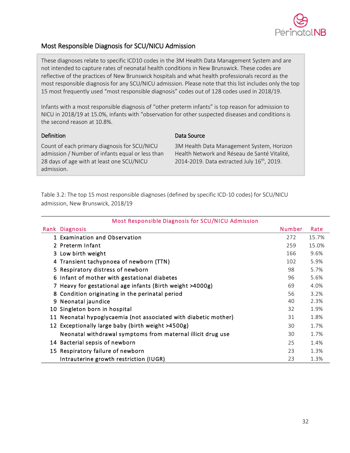

# <span id="page-32-0"></span>Most Responsible Diagnosis for SCU/NICU Admission

These diagnoses relate to specific ICD10 codes in the 3M Health Data Management System and are not intended to capture rates of neonatal health conditions in New Brunswick. These codes are reflective of the practices of New Brunswick hospitals and what health professionals record as the most responsible diagnosis for any SCU/NICU admission. Please note that this list includes only the top 15 most frequently used "most responsible diagnosis" codes out of 128 codes used in 2018/19.

Infants with a most responsible diagnosis of "other preterm infants" is top reason for admission to NICU in 2018/19 at 15.0%, infants with "observation for other suspected diseases and conditions is the second reason at 10.8%.

### Definition

Count of each primary diagnosis for SCU/NICU admission / Number of infants equal or less than 28 days of age with at least one SCU/NICU admission.

Data Source

3M Health Data Management System, Horizon Health Network and Réseau de Santé Vitalité, 2014-2019. Data extracted July  $16^{th}$ , 2019.

Table 3.2: The top 15 most responsible diagnoses (defined by specific ICD-10 codes) for SCU/NICU admission, New Brunswick, 2018/19

|    | Rank Diagnosis                                               | <b>Number</b> | Rate  |
|----|--------------------------------------------------------------|---------------|-------|
|    | 1 Examination and Observation                                | 272           | 15.7% |
|    | 2 Preterm Infant                                             | 259           | 15.0% |
|    | 3 Low birth weight                                           | 166           | 9.6%  |
|    | 4 Transient tachypnoea of newborn (TTN)                      | 102           | 5.9%  |
|    | 5 Respiratory distress of newborn                            | 98            | 5.7%  |
|    | 6 Infant of mother with gestational diabetes                 | 96            | 5.6%  |
|    | 7 Heavy for gestational age infants (Birth weight >4000g)    | 69            | 4.0%  |
| 8  | Condition originating in the perinatal period                | 56            | 3.2%  |
| 9  | Neonatal jaundice                                            | 40            | 2.3%  |
| 10 | Singleton born in hospital                                   | 32            | 1.9%  |
| 11 | Neonatal hypoglycaemia (not associated with diabetic mother) | 31            | 1.8%  |
|    | 12 Exceptionally large baby (birth weight >4500g)            | 30            | 1.7%  |
|    | Neonatal withdrawal symptoms from maternal illicit drug use  | 30            | 1.7%  |
|    | 14 Bacterial sepsis of newborn                               | 25            | 1.4%  |
|    | 15 Respiratory failure of newborn                            | 23            | 1.3%  |
|    | Intrauterine growth restriction (IUGR)                       | 23            | 1.3%  |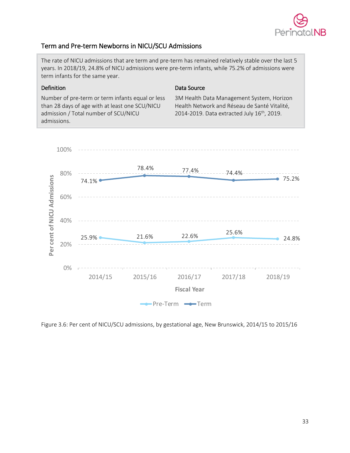

# <span id="page-33-0"></span>Term and Pre-term Newborns in NICU/SCU Admissions

The rate of NICU admissions that are term and pre-term has remained relatively stable over the last 5 years. In 2018/19, 24.8% of NICU admissions were pre-term infants, while 75.2% of admissions were term infants for the same year.

### Definition

Data Source

Number of pre-term or term infants equal or less than 28 days of age with at least one SCU/NICU admission / Total number of SCU/NICU admissions.

3M Health Data Management System, Horizon Health Network and Réseau de Santé Vitalité, 2014-2019. Data extracted July 16<sup>th</sup>, 2019.



Figure 3.6: Per cent of NICU/SCU admissions, by gestational age, New Brunswick, 2014/15 to 2015/16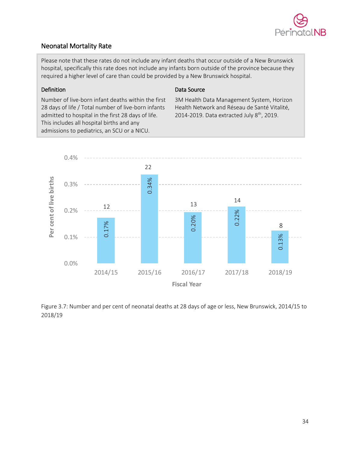

# <span id="page-34-0"></span>Neonatal Mortality Rate

Please note that these rates do not include any infant deaths that occur outside of a New Brunswick hospital, specifically this rate does not include any infants born outside of the province because they required a higher level of care than could be provided by a New Brunswick hospital.

### Definition

### Data Source

Number of live-born infant deaths within the first 28 days of life / Total number of live-born infants admitted to hospital in the first 28 days of life. This includes all hospital births and any admissions to pediatrics, an SCU or a NICU.

3M Health Data Management System, Horizon Health Network and Réseau de Santé Vitalité, 2014-2019. Data extracted July  $8<sup>th</sup>$ , 2019.



Figure 3.7: Number and per cent of neonatal deaths at 28 days of age or less, New Brunswick, 2014/15 to 2018/19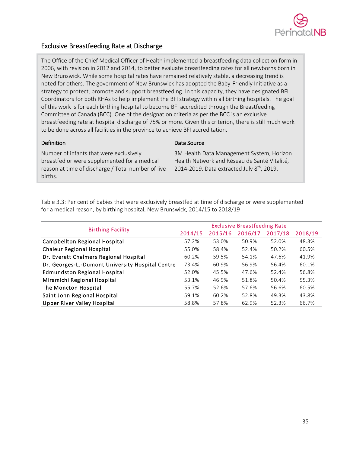

# <span id="page-35-0"></span>Exclusive Breastfeeding Rate at Discharge

The Office of the Chief Medical Officer of Health implemented a breastfeeding data collection form in 2006, with revision in 2012 and 2014, to better evaluate breastfeeding rates for all newborns born in New Brunswick. While some hospital rates have remained relatively stable, a decreasing trend is noted for others. The government of New Brunswick has adopted the Baby-Friendly Initiative as a strategy to protect, promote and support breastfeeding. In this capacity, they have designated BFI Coordinators for both RHAs to help implement the BFI strategy within all birthing hospitals. The goal of this work is for each birthing hospital to become BFI accredited through the Breastfeeding Committee of Canada (BCC). One of the designation criteria as per the BCC is an exclusive breastfeeding rate at hospital discharge of 75% or more. Given this criterion, there is still much work to be done across all facilities in the province to achieve BFI accreditation.

### Definition

Number of infants that were exclusively

breastfed or were supplemented for a medical reason at time of discharge / Total number of live births.

### Data Source

3M Health Data Management System, Horizon Health Network and Réseau de Santé Vitalité, 2014-2019. Data extracted July  $8<sup>th</sup>$ , 2019.

Table 3.3: Per cent of babies that were exclusively breastfed at time of discharge or were supplemented for a medical reason, by birthing hospital, New Brunswick, 2014/15 to 2018/19

|                                                  | <b>Exclusive Breastfeeding Rate</b> |         |         |         |         |  |
|--------------------------------------------------|-------------------------------------|---------|---------|---------|---------|--|
| <b>Birthing Facility</b>                         | 2014/15                             | 2015/16 | 2016/17 | 2017/18 | 2018/19 |  |
| Campbellton Regional Hospital                    | 57.2%                               | 53.0%   | 50.9%   | 52.0%   | 48.3%   |  |
| <b>Chaleur Regional Hospital</b>                 | 55.0%                               | 58.4%   | 52.4%   | 50.2%   | 60.5%   |  |
| Dr. Everett Chalmers Regional Hospital           | 60.2%                               | 59.5%   | 54.1%   | 47.6%   | 41.9%   |  |
| Dr. Georges-L.-Dumont University Hospital Centre | 73.4%                               | 60.9%   | 56.9%   | 56.4%   | 60.1%   |  |
| <b>Edmundston Regional Hospital</b>              | 52.0%                               | 45.5%   | 47.6%   | 52.4%   | 56.8%   |  |
| Miramichi Regional Hospital                      | 53.1%                               | 46.9%   | 51.8%   | 50.4%   | 55.3%   |  |
| The Moncton Hospital                             | 55.7%                               | 52.6%   | 57.6%   | 56.6%   | 60.5%   |  |
| Saint John Regional Hospital                     | 59.1%                               | 60.2%   | 52.8%   | 49.3%   | 43.8%   |  |
| <b>Upper River Valley Hospital</b>               | 58.8%                               | 57.8%   | 62.9%   | 52.3%   | 66.7%   |  |